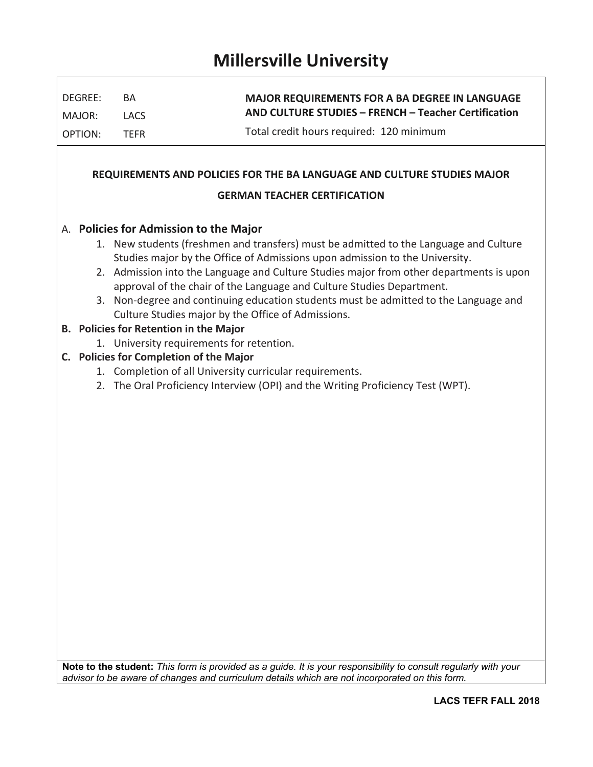# **Millersville University**

| DEGREE:                  | BA                                      | <b>MAJOR REQUIREMENTS FOR A BA DEGREE IN LANGUAGE</b><br>AND CULTURE STUDIES - FRENCH - Teacher Certification                                                          |
|--------------------------|-----------------------------------------|------------------------------------------------------------------------------------------------------------------------------------------------------------------------|
| MAJOR:<br><b>OPTION:</b> | <b>LACS</b><br><b>TEFR</b>              | Total credit hours required: 120 minimum                                                                                                                               |
|                          |                                         |                                                                                                                                                                        |
|                          |                                         | REQUIREMENTS AND POLICIES FOR THE BA LANGUAGE AND CULTURE STUDIES MAJOR                                                                                                |
|                          |                                         | <b>GERMAN TEACHER CERTIFICATION</b>                                                                                                                                    |
|                          | A. Policies for Admission to the Major  |                                                                                                                                                                        |
|                          |                                         | 1. New students (freshmen and transfers) must be admitted to the Language and Culture                                                                                  |
|                          |                                         | Studies major by the Office of Admissions upon admission to the University.<br>2. Admission into the Language and Culture Studies major from other departments is upon |
|                          |                                         | approval of the chair of the Language and Culture Studies Department.                                                                                                  |
|                          |                                         | 3. Non-degree and continuing education students must be admitted to the Language and<br>Culture Studies major by the Office of Admissions.                             |
|                          | B. Policies for Retention in the Major  |                                                                                                                                                                        |
|                          |                                         | 1. University requirements for retention.                                                                                                                              |
|                          | C. Policies for Completion of the Major |                                                                                                                                                                        |
|                          |                                         | 1. Completion of all University curricular requirements.                                                                                                               |
|                          |                                         | 2. The Oral Proficiency Interview (OPI) and the Writing Proficiency Test (WPT).                                                                                        |
|                          |                                         |                                                                                                                                                                        |
|                          |                                         |                                                                                                                                                                        |
|                          |                                         |                                                                                                                                                                        |
|                          |                                         |                                                                                                                                                                        |
|                          |                                         |                                                                                                                                                                        |
|                          |                                         |                                                                                                                                                                        |
|                          |                                         |                                                                                                                                                                        |
|                          |                                         |                                                                                                                                                                        |
|                          |                                         |                                                                                                                                                                        |
|                          |                                         |                                                                                                                                                                        |
|                          |                                         |                                                                                                                                                                        |
|                          |                                         |                                                                                                                                                                        |
|                          |                                         |                                                                                                                                                                        |
|                          |                                         |                                                                                                                                                                        |
|                          |                                         |                                                                                                                                                                        |
|                          |                                         |                                                                                                                                                                        |
|                          |                                         |                                                                                                                                                                        |
|                          |                                         |                                                                                                                                                                        |
|                          |                                         | Note to the student: This form is provided as a guide. It is your responsibility to consult regularly with your                                                        |
|                          |                                         | advisor to be aware of changes and curriculum details which are not incorporated on this form.                                                                         |